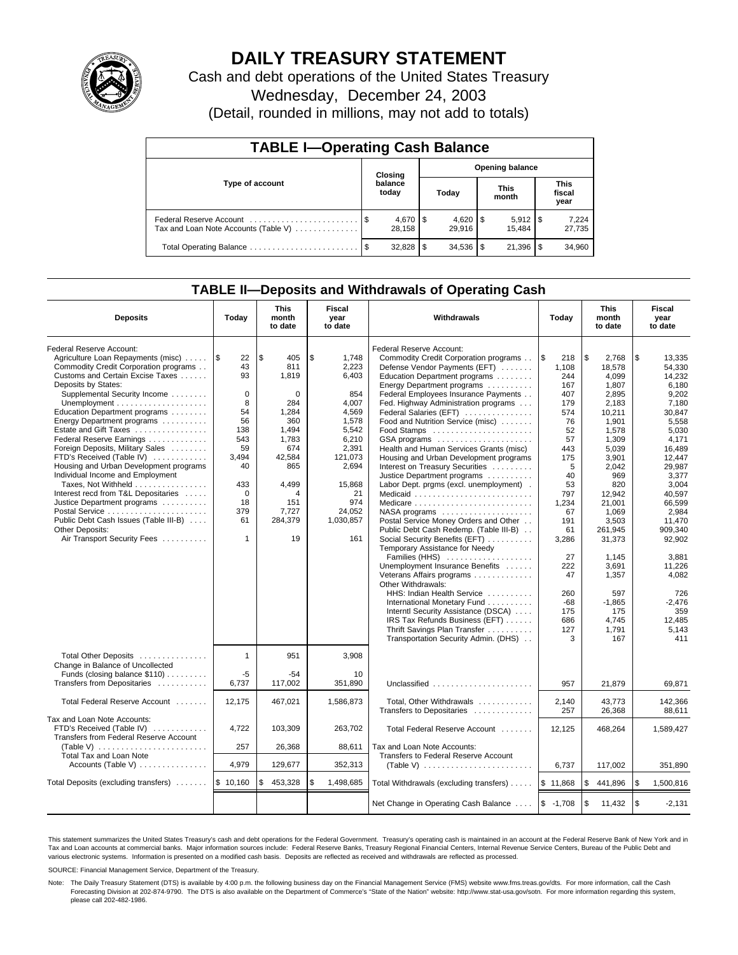

# **DAILY TREASURY STATEMENT**

Cash and debt operations of the United States Treasury Wednesday, December 24, 2003

(Detail, rounded in millions, may not add to totals)

| <b>TABLE I-Operating Cash Balance</b> |  |                                   |      |                        |  |                      |  |                               |  |
|---------------------------------------|--|-----------------------------------|------|------------------------|--|----------------------|--|-------------------------------|--|
|                                       |  | <b>Opening balance</b><br>Closing |      |                        |  |                      |  |                               |  |
| Type of account                       |  | balance<br>today                  |      | Today                  |  | <b>This</b><br>month |  | <b>This</b><br>fiscal<br>year |  |
| Tax and Loan Note Accounts (Table V)  |  | $4,670$ \ \$<br>28.158            |      | $4,620$ \ \$<br>29.916 |  | 15.484               |  | 7,224<br>27,735               |  |
|                                       |  | 32.828                            | - \$ |                        |  | 21,396               |  | 34,960                        |  |

## **TABLE II—Deposits and Withdrawals of Operating Cash**

| <b>Deposits</b>                                                                                                                                                                                                                                                                                                                                                                                                                                                                                                                                                                                                                                                                                                                 | Today                                                                                                                                             | <b>This</b><br>month<br>to date                                                                                                                       | Fiscal<br>Withdrawals<br>Today<br>year<br>to date                                                                                                                   |                                                                                                                                                                                                                                                                                                                                                                                                                                                                                                                                                                                                                                                                                                                                                                                                                                                                                                                                                                                                                                                                         | <b>This</b><br>month<br>to date                                                                                                                                                                                  | Fiscal<br>year<br>to date                                                                                                                                                                                                                                                        |                                                                                                                                                                                                                                                                                              |
|---------------------------------------------------------------------------------------------------------------------------------------------------------------------------------------------------------------------------------------------------------------------------------------------------------------------------------------------------------------------------------------------------------------------------------------------------------------------------------------------------------------------------------------------------------------------------------------------------------------------------------------------------------------------------------------------------------------------------------|---------------------------------------------------------------------------------------------------------------------------------------------------|-------------------------------------------------------------------------------------------------------------------------------------------------------|---------------------------------------------------------------------------------------------------------------------------------------------------------------------|-------------------------------------------------------------------------------------------------------------------------------------------------------------------------------------------------------------------------------------------------------------------------------------------------------------------------------------------------------------------------------------------------------------------------------------------------------------------------------------------------------------------------------------------------------------------------------------------------------------------------------------------------------------------------------------------------------------------------------------------------------------------------------------------------------------------------------------------------------------------------------------------------------------------------------------------------------------------------------------------------------------------------------------------------------------------------|------------------------------------------------------------------------------------------------------------------------------------------------------------------------------------------------------------------|----------------------------------------------------------------------------------------------------------------------------------------------------------------------------------------------------------------------------------------------------------------------------------|----------------------------------------------------------------------------------------------------------------------------------------------------------------------------------------------------------------------------------------------------------------------------------------------|
| Federal Reserve Account:<br>Agriculture Loan Repayments (misc)<br>Commodity Credit Corporation programs<br>Customs and Certain Excise Taxes<br>Deposits by States:<br>Supplemental Security Income<br>Unemployment $\dots\dots\dots\dots\dots\dots\dots\dots$<br>Education Department programs<br>Energy Department programs<br>Estate and Gift Taxes<br>Federal Reserve Earnings<br>Foreign Deposits, Military Sales<br>FTD's Received (Table IV)<br>Housing and Urban Development programs<br>Individual Income and Employment<br>Taxes, Not Withheld<br>Interest recd from T&L Depositaries<br>Justice Department programs<br>Public Debt Cash Issues (Table III-B)<br><b>Other Deposits:</b><br>Air Transport Security Fees | 1\$<br>22<br>43<br>93<br>$\mathbf 0$<br>8<br>54<br>56<br>138<br>543<br>59<br>3,494<br>40<br>433<br>$\mathbf 0$<br>18<br>379<br>61<br>$\mathbf{1}$ | \$<br>405<br>811<br>1,819<br>$\Omega$<br>284<br>1,284<br>360<br>1,494<br>1,783<br>674<br>42,584<br>865<br>4,499<br>4<br>151<br>7,727<br>284,379<br>19 | \$<br>1,748<br>2,223<br>6,403<br>854<br>4,007<br>4,569<br>1,578<br>5,542<br>6,210<br>2,391<br>121,073<br>2,694<br>15,868<br>21<br>974<br>24,052<br>1,030,857<br>161 | Federal Reserve Account:<br>Commodity Credit Corporation programs<br>Defense Vendor Payments (EFT)<br>Education Department programs<br>Energy Department programs<br>Federal Employees Insurance Payments<br>Fed. Highway Administration programs<br>Federal Salaries (EFT)<br>Food and Nutrition Service (misc)<br>Food Stamps<br>GSA programs<br>Health and Human Services Grants (misc)<br>Housing and Urban Development programs<br>Interest on Treasury Securities<br>Justice Department programs<br>Labor Dept. prgms (excl. unemployment).<br>Medicaid<br>Medicare<br>NASA programs<br>Postal Service Money Orders and Other<br>Public Debt Cash Redemp. (Table III-B)<br>Social Security Benefits (EFT)<br>Temporary Assistance for Needy<br>Families (HHS)<br>Unemployment Insurance Benefits<br>Veterans Affairs programs<br>Other Withdrawals:<br>HHS: Indian Health Service<br>International Monetary Fund<br>Interntl Security Assistance (DSCA)<br>IRS Tax Refunds Business (EFT)<br>Thrift Savings Plan Transfer<br>Transportation Security Admin. (DHS) | 1\$<br>218<br>1,108<br>244<br>167<br>407<br>179<br>574<br>76<br>52<br>57<br>443<br>175<br>5<br>40<br>53<br>797<br>1,234<br>67<br>191<br>61<br>3,286<br>27<br>222<br>47<br>260<br>$-68$<br>175<br>686<br>127<br>3 | \$<br>2,768<br>18,578<br>4.099<br>1,807<br>2,895<br>2,183<br>10,211<br>1,901<br>1,578<br>1,309<br>5,039<br>3,901<br>2.042<br>969<br>820<br>12,942<br>21,001<br>1,069<br>3,503<br>261.945<br>31,373<br>1,145<br>3,691<br>1,357<br>597<br>$-1.865$<br>175<br>4.745<br>1,791<br>167 | \$<br>13,335<br>54,330<br>14,232<br>6.180<br>9,202<br>7.180<br>30.847<br>5,558<br>5,030<br>4.171<br>16,489<br>12.447<br>29.987<br>3.377<br>3,004<br>40.597<br>66.599<br>2,984<br>11,470<br>909.340<br>92,902<br>3,881<br>11,226<br>4,082<br>726<br>$-2.476$<br>359<br>12,485<br>5.143<br>411 |
| Total Other Deposits<br>Change in Balance of Uncollected<br>Funds (closing balance \$110)                                                                                                                                                                                                                                                                                                                                                                                                                                                                                                                                                                                                                                       | $\mathbf{1}$<br>$-5$                                                                                                                              | 951<br>-54                                                                                                                                            | 3,908<br>10                                                                                                                                                         |                                                                                                                                                                                                                                                                                                                                                                                                                                                                                                                                                                                                                                                                                                                                                                                                                                                                                                                                                                                                                                                                         |                                                                                                                                                                                                                  |                                                                                                                                                                                                                                                                                  |                                                                                                                                                                                                                                                                                              |
| Transfers from Depositaries                                                                                                                                                                                                                                                                                                                                                                                                                                                                                                                                                                                                                                                                                                     | 6,737                                                                                                                                             | 117,002                                                                                                                                               | 351,890                                                                                                                                                             | Unclassified                                                                                                                                                                                                                                                                                                                                                                                                                                                                                                                                                                                                                                                                                                                                                                                                                                                                                                                                                                                                                                                            | 957                                                                                                                                                                                                              | 21,879                                                                                                                                                                                                                                                                           | 69,871                                                                                                                                                                                                                                                                                       |
| Total Federal Reserve Account                                                                                                                                                                                                                                                                                                                                                                                                                                                                                                                                                                                                                                                                                                   | 12.175                                                                                                                                            | 467,021                                                                                                                                               | 1,586,873                                                                                                                                                           | Total, Other Withdrawals<br>Transfers to Depositaries                                                                                                                                                                                                                                                                                                                                                                                                                                                                                                                                                                                                                                                                                                                                                                                                                                                                                                                                                                                                                   | 2,140<br>257                                                                                                                                                                                                     | 43,773<br>26,368                                                                                                                                                                                                                                                                 | 142.366<br>88,611                                                                                                                                                                                                                                                                            |
| Tax and Loan Note Accounts:<br>FTD's Received (Table IV)<br>Transfers from Federal Reserve Account                                                                                                                                                                                                                                                                                                                                                                                                                                                                                                                                                                                                                              | 4,722                                                                                                                                             | 103,309                                                                                                                                               | 263,702                                                                                                                                                             | Total Federal Reserve Account                                                                                                                                                                                                                                                                                                                                                                                                                                                                                                                                                                                                                                                                                                                                                                                                                                                                                                                                                                                                                                           | 12,125                                                                                                                                                                                                           | 468,264                                                                                                                                                                                                                                                                          | 1,589,427                                                                                                                                                                                                                                                                                    |
| (Table V)<br>Total Tax and Loan Note                                                                                                                                                                                                                                                                                                                                                                                                                                                                                                                                                                                                                                                                                            | 257                                                                                                                                               | 26,368                                                                                                                                                | 88,611                                                                                                                                                              | Tax and Loan Note Accounts:<br>Transfers to Federal Reserve Account                                                                                                                                                                                                                                                                                                                                                                                                                                                                                                                                                                                                                                                                                                                                                                                                                                                                                                                                                                                                     |                                                                                                                                                                                                                  |                                                                                                                                                                                                                                                                                  |                                                                                                                                                                                                                                                                                              |
| Accounts (Table V)                                                                                                                                                                                                                                                                                                                                                                                                                                                                                                                                                                                                                                                                                                              | 4,979                                                                                                                                             | 129,677                                                                                                                                               | 352,313                                                                                                                                                             |                                                                                                                                                                                                                                                                                                                                                                                                                                                                                                                                                                                                                                                                                                                                                                                                                                                                                                                                                                                                                                                                         | 6,737                                                                                                                                                                                                            | 117,002                                                                                                                                                                                                                                                                          | 351.890                                                                                                                                                                                                                                                                                      |
| Total Deposits (excluding transfers)    \$ 10,160                                                                                                                                                                                                                                                                                                                                                                                                                                                                                                                                                                                                                                                                               |                                                                                                                                                   | \$<br>453,328                                                                                                                                         | \$<br>1,498,685                                                                                                                                                     | Total Withdrawals (excluding transfers)                                                                                                                                                                                                                                                                                                                                                                                                                                                                                                                                                                                                                                                                                                                                                                                                                                                                                                                                                                                                                                 | \$11,868                                                                                                                                                                                                         | \$<br>441,896                                                                                                                                                                                                                                                                    | 1,500,816<br>\$                                                                                                                                                                                                                                                                              |
|                                                                                                                                                                                                                                                                                                                                                                                                                                                                                                                                                                                                                                                                                                                                 |                                                                                                                                                   |                                                                                                                                                       |                                                                                                                                                                     | Net Change in Operating Cash Balance  \\$ -1,708                                                                                                                                                                                                                                                                                                                                                                                                                                                                                                                                                                                                                                                                                                                                                                                                                                                                                                                                                                                                                        |                                                                                                                                                                                                                  | l \$<br>11,432                                                                                                                                                                                                                                                                   | \$<br>$-2.131$                                                                                                                                                                                                                                                                               |

This statement summarizes the United States Treasury's cash and debt operations for the Federal Government. Treasury's operating cash is maintained in an account at the Federal Reserve Bank of New York and in Tax and Loan accounts at commercial banks. Major information sources include: Federal Reserve Banks, Treasury Regional Financial Centers, Internal Revenue Service Centers, Bureau of the Public Debt and<br>various electronic s

SOURCE: Financial Management Service, Department of the Treasury.

Note: The Daily Treasury Statement (DTS) is available by 4:00 p.m. the following business day on the Financial Management Service (FMS) website www.fms.treas.gov/dts. For more information, call the Cash Forecasting Division at 202-874-9790. The DTS is also available on the Department of Commerce's "State of the Nation" website: http://www.stat-usa.gov/sotn. For more information regarding this system, please call 202-482-1986.